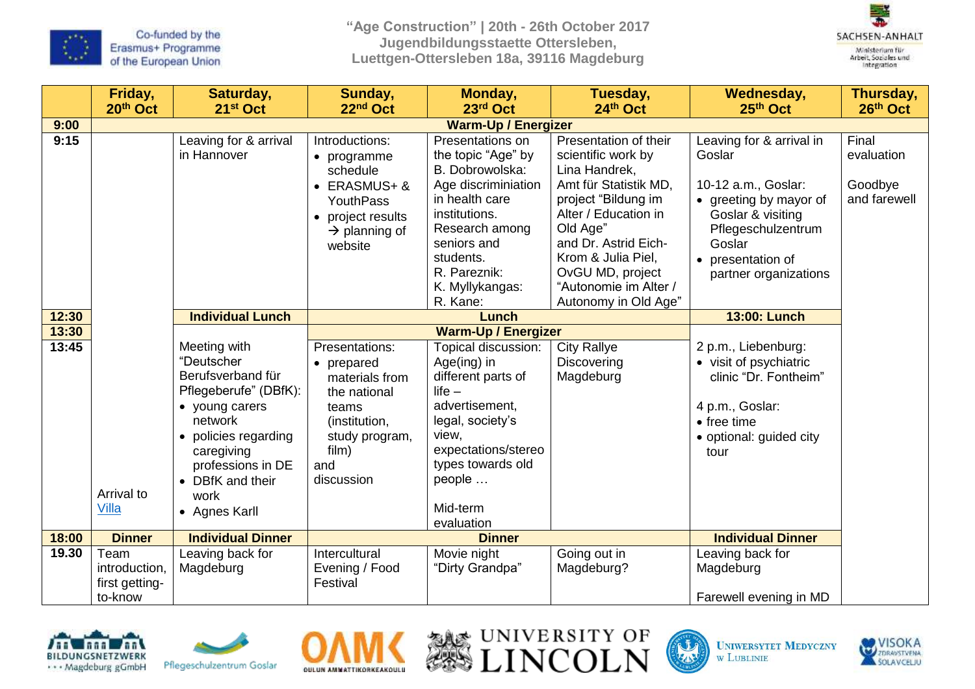

**"Age Construction" | 20th - 26th October 2017 Jugendbildungsstaette Ottersleben, Luettgen-Ottersleben 18a, 39116 Magdeburg**



|                | Friday,<br>20th Oct                                | Saturday,<br>21 <sup>st</sup> Oct                                                                                                                                                                             | Sunday,<br>22nd Oct                                                                                                                        | Monday,<br>23rd Oct                                                                                                                                                                                                               | Tuesday,<br>24th Oct                                                                                                                                                                                                                                                | <b>Wednesday,</b><br>25th Oct                                                                                                                                                          | Thursday,<br>26th Oct                          |  |
|----------------|----------------------------------------------------|---------------------------------------------------------------------------------------------------------------------------------------------------------------------------------------------------------------|--------------------------------------------------------------------------------------------------------------------------------------------|-----------------------------------------------------------------------------------------------------------------------------------------------------------------------------------------------------------------------------------|---------------------------------------------------------------------------------------------------------------------------------------------------------------------------------------------------------------------------------------------------------------------|----------------------------------------------------------------------------------------------------------------------------------------------------------------------------------------|------------------------------------------------|--|
| 9:00           |                                                    | <b>Warm-Up / Energizer</b>                                                                                                                                                                                    |                                                                                                                                            |                                                                                                                                                                                                                                   |                                                                                                                                                                                                                                                                     |                                                                                                                                                                                        |                                                |  |
| 9:15           |                                                    | Leaving for & arrival<br>in Hannover                                                                                                                                                                          | Introductions:<br>• programme<br>schedule<br>• ERASMUS+ &<br><b>YouthPass</b><br>• project results<br>$\rightarrow$ planning of<br>website | Presentations on<br>the topic "Age" by<br>B. Dobrowolska:<br>Age discriminiation<br>in health care<br>institutions.<br>Research among<br>seniors and<br>students.<br>R. Pareznik:<br>K. Myllykangas:<br>R. Kane:                  | Presentation of their<br>scientific work by<br>Lina Handrek,<br>Amt für Statistik MD,<br>project "Bildung im<br>Alter / Education in<br>Old Age"<br>and Dr. Astrid Eich-<br>Krom & Julia Piel,<br>OvGU MD, project<br>"Autonomie im Alter /<br>Autonomy in Old Age" | Leaving for & arrival in<br>Goslar<br>10-12 a.m., Goslar:<br>• greeting by mayor of<br>Goslar & visiting<br>Pflegeschulzentrum<br>Goslar<br>• presentation of<br>partner organizations | Final<br>evaluation<br>Goodbye<br>and farewell |  |
| 12:30          |                                                    | <b>Individual Lunch</b>                                                                                                                                                                                       |                                                                                                                                            | <b>Lunch</b>                                                                                                                                                                                                                      |                                                                                                                                                                                                                                                                     | <b>13:00: Lunch</b>                                                                                                                                                                    |                                                |  |
| 13:30<br>13:45 | Arrival to<br>Villa                                | Meeting with<br>"Deutscher<br>Berufsverband für<br>Pflegeberufe" (DBfK):<br>• young carers<br>network<br>• policies regarding<br>caregiving<br>professions in DE<br>• DBfK and their<br>work<br>• Agnes Karll | Presentations:<br>• prepared<br>materials from<br>the national<br>teams<br>(institution,<br>study program,<br>film)<br>and<br>discussion   | <b>Warm-Up / Energizer</b><br>Topical discussion:<br>Age(ing) in<br>different parts of<br>$life -$<br>advertisement,<br>legal, society's<br>view,<br>expectations/stereo<br>types towards old<br>people<br>Mid-term<br>evaluation | <b>City Rallye</b><br>Discovering<br>Magdeburg                                                                                                                                                                                                                      | 2 p.m., Liebenburg:<br>• visit of psychiatric<br>clinic "Dr. Fontheim"<br>4 p.m., Goslar:<br>$\bullet$ free time<br>• optional: guided city<br>tour                                    |                                                |  |
| 18:00          | <b>Dinner</b>                                      | <b>Individual Dinner</b>                                                                                                                                                                                      | <b>Dinner</b>                                                                                                                              |                                                                                                                                                                                                                                   |                                                                                                                                                                                                                                                                     | <b>Individual Dinner</b>                                                                                                                                                               |                                                |  |
| 19.30          | Team<br>introduction,<br>first getting-<br>to-know | Leaving back for<br>Magdeburg                                                                                                                                                                                 | Intercultural<br>Evening / Food<br>Festival                                                                                                | Movie night<br>"Dirty Grandpa"                                                                                                                                                                                                    | Going out in<br>Magdeburg?                                                                                                                                                                                                                                          | Leaving back for<br>Magdeburg<br>Farewell evening in MD                                                                                                                                |                                                |  |